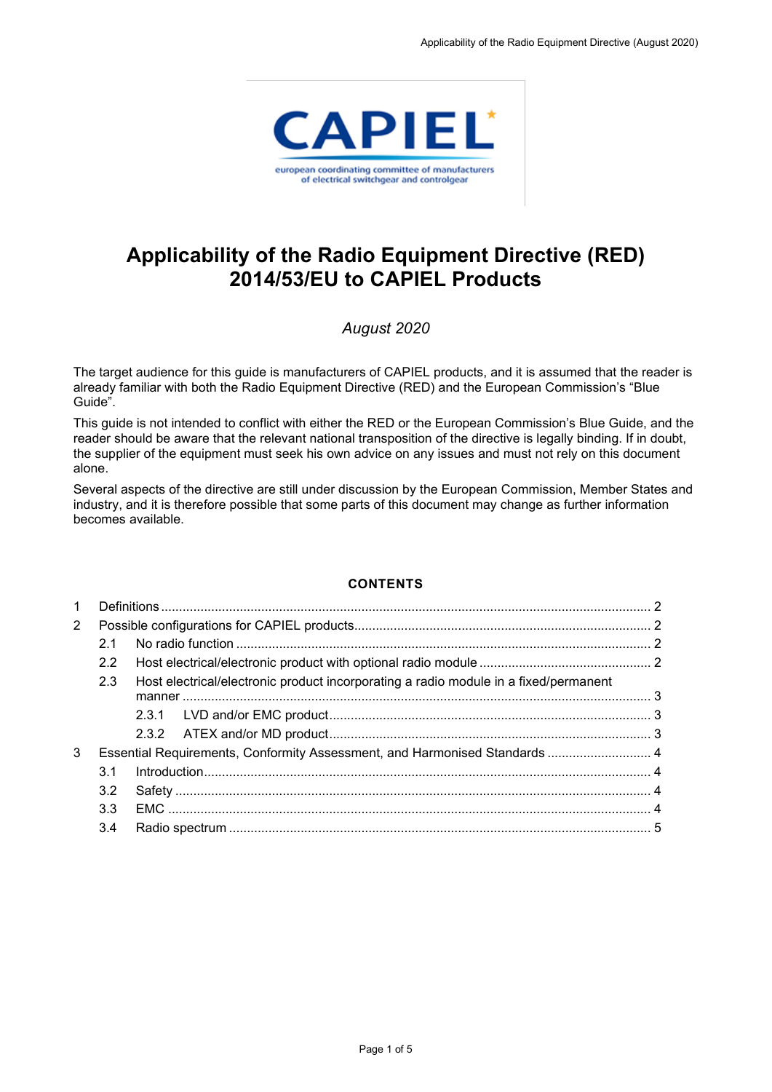

# **Applicability of the Radio Equipment Directive (RED) 2014/53/EU to CAPIEL Products**

# *August 2020*

The target audience for this guide is manufacturers of CAPIEL products, and it is assumed that the reader is already familiar with both the Radio Equipment Directive (RED) and the European Commission's "Blue Guide".

This guide is not intended to conflict with either the RED or the European Commission's Blue Guide, and the reader should be aware that the relevant national transposition of the directive is legally binding. If in doubt, the supplier of the equipment must seek his own advice on any issues and must not rely on this document alone.

Several aspects of the directive are still under discussion by the European Commission, Member States and industry, and it is therefore possible that some parts of this document may change as further information becomes available.

#### **CONTENTS**

| 1              |                                                                            |                                                                                      |  |  |
|----------------|----------------------------------------------------------------------------|--------------------------------------------------------------------------------------|--|--|
| $\overline{2}$ |                                                                            |                                                                                      |  |  |
|                | 2.1                                                                        |                                                                                      |  |  |
|                | $2.2^{\circ}$                                                              |                                                                                      |  |  |
|                | 2.3                                                                        | Host electrical/electronic product incorporating a radio module in a fixed/permanent |  |  |
|                |                                                                            |                                                                                      |  |  |
|                |                                                                            |                                                                                      |  |  |
| 3              | Essential Requirements, Conformity Assessment, and Harmonised Standards  4 |                                                                                      |  |  |
|                | 3.1                                                                        |                                                                                      |  |  |
|                | 3.2                                                                        |                                                                                      |  |  |
|                | 3.3                                                                        |                                                                                      |  |  |
|                | 3.4                                                                        |                                                                                      |  |  |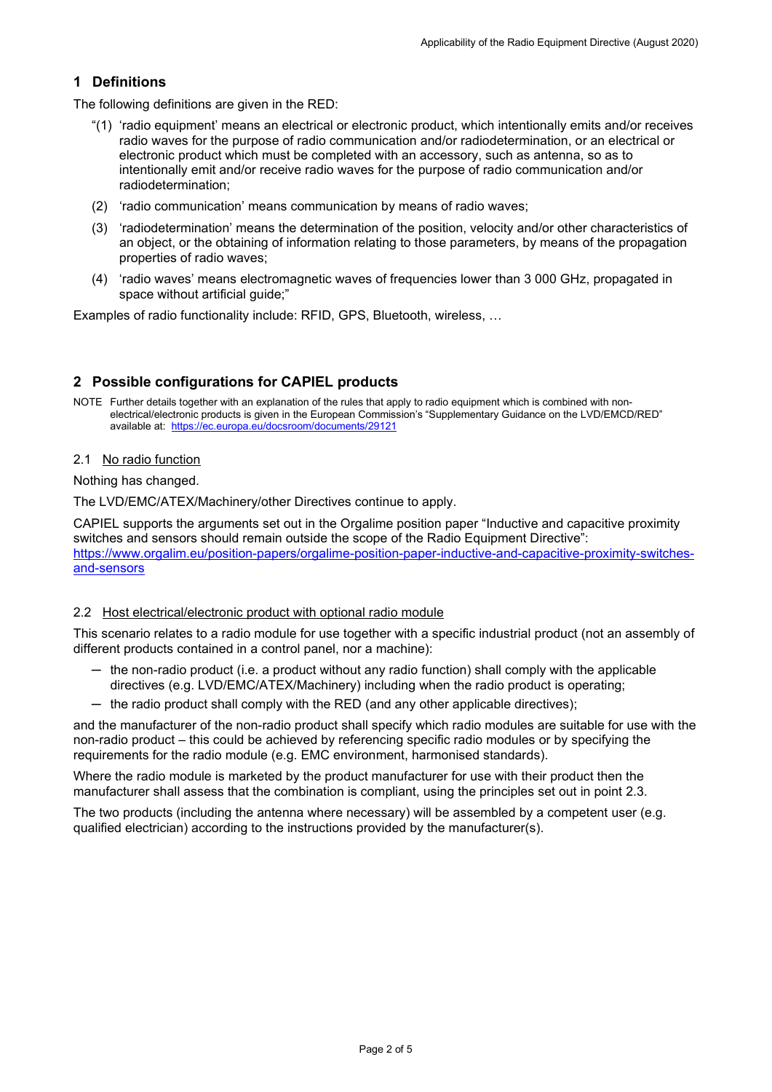## <span id="page-1-0"></span>**1 Definitions**

The following definitions are given in the RED:

- "(1) 'radio equipment' means an electrical or electronic product, which intentionally emits and/or receives radio waves for the purpose of radio communication and/or radiodetermination, or an electrical or electronic product which must be completed with an accessory, such as antenna, so as to intentionally emit and/or receive radio waves for the purpose of radio communication and/or radiodetermination;
- (2) 'radio communication' means communication by means of radio waves;
- (3) 'radiodetermination' means the determination of the position, velocity and/or other characteristics of an object, or the obtaining of information relating to those parameters, by means of the propagation properties of radio waves;
- (4) 'radio waves' means electromagnetic waves of frequencies lower than 3 000 GHz, propagated in space without artificial guide;"

Examples of radio functionality include: RFID, GPS, Bluetooth, wireless, …

## <span id="page-1-1"></span>**2 Possible configurations for CAPIEL products**

<span id="page-1-2"></span>NOTE Further details together with an explanation of the rules that apply to radio equipment which is combined with nonelectrical/electronic products is given in the European Commission's "Supplementary Guidance on the LVD/EMCD/RED" available at: <https://ec.europa.eu/docsroom/documents/29121>

#### 2.1 No radio function

Nothing has changed.

The LVD/EMC/ATEX/Machinery/other Directives continue to apply.

CAPIEL supports the arguments set out in the Orgalime position paper "Inductive and capacitive proximity switches and sensors should remain outside the scope of the Radio Equipment Directive": [https://www.orgalim.eu/position-papers/orgalime-position-paper-inductive-and-capacitive-proximity-switches](https://www.orgalim.eu/position-papers/orgalime-position-paper-inductive-and-capacitive-proximity-switches-and-sensors)[and-sensors](https://www.orgalim.eu/position-papers/orgalime-position-paper-inductive-and-capacitive-proximity-switches-and-sensors)

#### <span id="page-1-3"></span>2.2 Host electrical/electronic product with optional radio module

This scenario relates to a radio module for use together with a specific industrial product (not an assembly of different products contained in a control panel, nor a machine):

- ─ the non-radio product (i.e. a product without any radio function) shall comply with the applicable directives (e.g. LVD/EMC/ATEX/Machinery) including when the radio product is operating;
- $-$  the radio product shall comply with the RED (and any other applicable directives);

and the manufacturer of the non-radio product shall specify which radio modules are suitable for use with the non-radio product – this could be achieved by referencing specific radio modules or by specifying the requirements for the radio module (e.g. EMC environment, harmonised standards).

Where the radio module is marketed by the product manufacturer for use with their product then the manufacturer shall assess that the combination is compliant, using the principles set out in point [2.3.](#page-2-0)

The two products (including the antenna where necessary) will be assembled by a competent user (e.g. qualified electrician) according to the instructions provided by the manufacturer(s).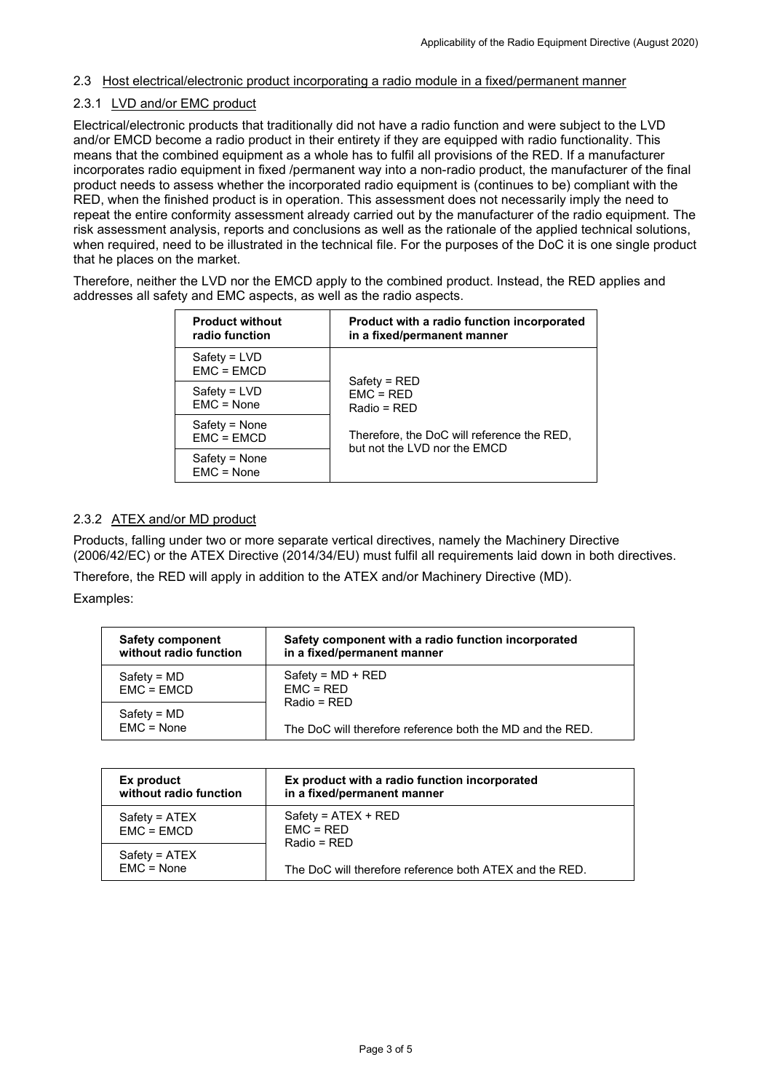#### <span id="page-2-0"></span>2.3 Host electrical/electronic product incorporating a radio module in a fixed/permanent manner

#### <span id="page-2-1"></span>2.3.1 LVD and/or EMC product

Electrical/electronic products that traditionally did not have a radio function and were subject to the LVD and/or EMCD become a radio product in their entirety if they are equipped with radio functionality. This means that the combined equipment as a whole has to fulfil all provisions of the RED. If a manufacturer incorporates radio equipment in fixed /permanent way into a non-radio product, the manufacturer of the final product needs to assess whether the incorporated radio equipment is (continues to be) compliant with the RED, when the finished product is in operation. This assessment does not necessarily imply the need to repeat the entire conformity assessment already carried out by the manufacturer of the radio equipment. The risk assessment analysis, reports and conclusions as well as the rationale of the applied technical solutions, when required, need to be illustrated in the technical file. For the purposes of the DoC it is one single product that he places on the market.

Therefore, neither the LVD nor the EMCD apply to the combined product. Instead, the RED applies and addresses all safety and EMC aspects, as well as the radio aspects.

| <b>Product without</b><br>radio function | Product with a radio function incorporated<br>in a fixed/permanent manner  |  |
|------------------------------------------|----------------------------------------------------------------------------|--|
| $Safety = LVD$<br>$EMC = EMCD$           |                                                                            |  |
| $Safety = LVD$<br>$EMC = None$           | $Safety = RED$<br>$EMC = RED$<br>Radio = RED                               |  |
| Safety = None<br>$EMC = EMCD$            | Therefore, the DoC will reference the RED,<br>but not the LVD nor the EMCD |  |
| Safety = None<br>$EMC = None$            |                                                                            |  |

#### <span id="page-2-2"></span>2.3.2 ATEX and/or MD product

Products, falling under two or more separate vertical directives, namely the Machinery Directive (2006/42/EC) or the ATEX Directive (2014/34/EU) must fulfil all requirements laid down in both directives.

Therefore, the RED will apply in addition to the ATEX and/or Machinery Directive (MD).

Examples:

| <b>Safety component</b> | Safety component with a radio function incorporated       |  |
|-------------------------|-----------------------------------------------------------|--|
| without radio function  | in a fixed/permanent manner                               |  |
| $Safety = MD$           | $Safety = MD + RED$                                       |  |
| $EMC = EMCD$            | $EMC = RED$                                               |  |
| $Safety = MD$           | $Radio = RFD$                                             |  |
| $EMC = None$            | The DoC will therefore reference both the MD and the RED. |  |

<span id="page-2-3"></span>

| Ex product<br>without radio function | Ex product with a radio function incorporated<br>in a fixed/permanent manner                                     |
|--------------------------------------|------------------------------------------------------------------------------------------------------------------|
| Safety = ATEX<br>$EMC = EMCD$        | $Safety = ATEX + RED$<br>$EMC = RED$<br>$Radio = RFD$<br>The DoC will therefore reference both ATEX and the RED. |
| $Safety = ATEX$<br>$EMC = None$      |                                                                                                                  |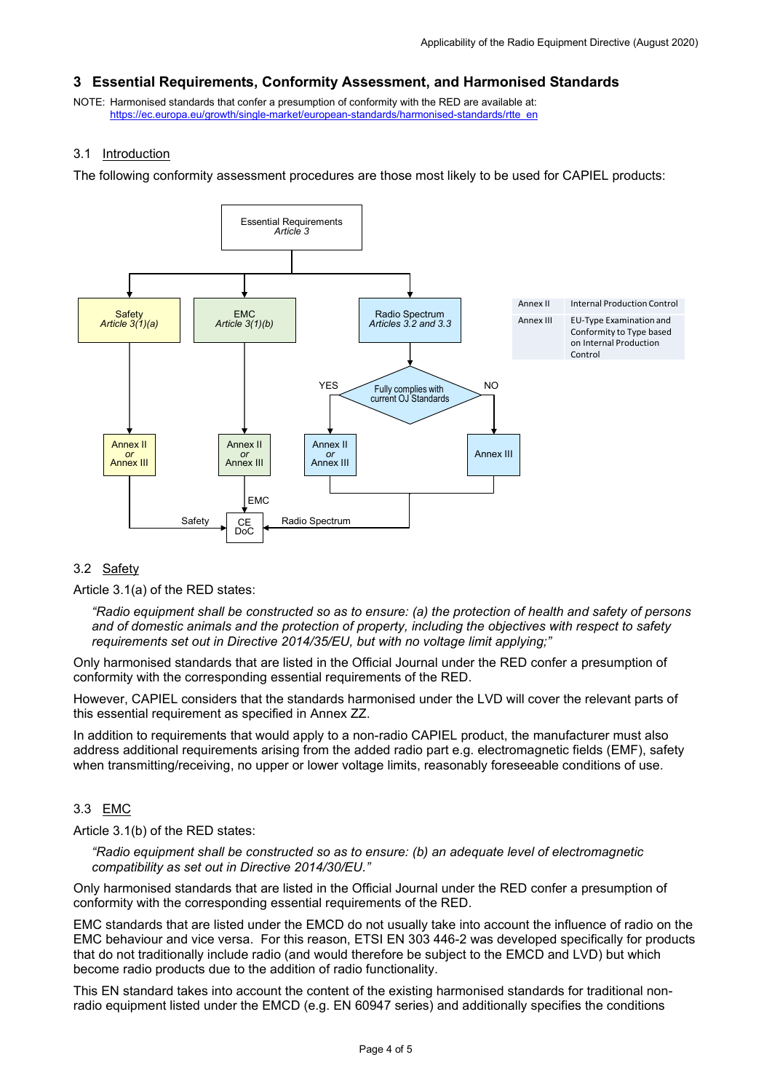### **3 Essential Requirements, Conformity Assessment, and Harmonised Standards**

NOTE: Harmonised standards that confer a presumption of conformity with the RED are available at: [https://ec.europa.eu/growth/single-market/european-standards/harmonised-standards/rtte\\_en](https://ec.europa.eu/growth/single-market/european-standards/harmonised-standards/rtte_en)

#### <span id="page-3-0"></span>3.1 Introduction

The following conformity assessment procedures are those most likely to be used for CAPIEL products:



## <span id="page-3-1"></span>3.2 Safety

Article 3.1(a) of the RED states:

*"Radio equipment shall be constructed so as to ensure: (a) the protection of health and safety of persons and of domestic animals and the protection of property, including the objectives with respect to safety requirements set out in Directive 2014/35/EU, but with no voltage limit applying;"*

Only harmonised standards that are listed in the Official Journal under the RED confer a presumption of conformity with the corresponding essential requirements of the RED.

However, CAPIEL considers that the standards harmonised under the LVD will cover the relevant parts of this essential requirement as specified in Annex ZZ.

In addition to requirements that would apply to a non-radio CAPIEL product, the manufacturer must also address additional requirements arising from the added radio part e.g. electromagnetic fields (EMF), safety when transmitting/receiving, no upper or lower voltage limits, reasonably foreseeable conditions of use.

## <span id="page-3-2"></span>3.3 EMC

Article 3.1(b) of the RED states:

*"Radio equipment shall be constructed so as to ensure: (b) an adequate level of electromagnetic compatibility as set out in Directive 2014/30/EU."*

Only harmonised standards that are listed in the Official Journal under the RED confer a presumption of conformity with the corresponding essential requirements of the RED.

EMC standards that are listed under the EMCD do not usually take into account the influence of radio on the EMC behaviour and vice versa. For this reason, ETSI EN 303 446-2 was developed specifically for products that do not traditionally include radio (and would therefore be subject to the EMCD and LVD) but which become radio products due to the addition of radio functionality.

This EN standard takes into account the content of the existing harmonised standards for traditional nonradio equipment listed under the EMCD (e.g. EN 60947 series) and additionally specifies the conditions